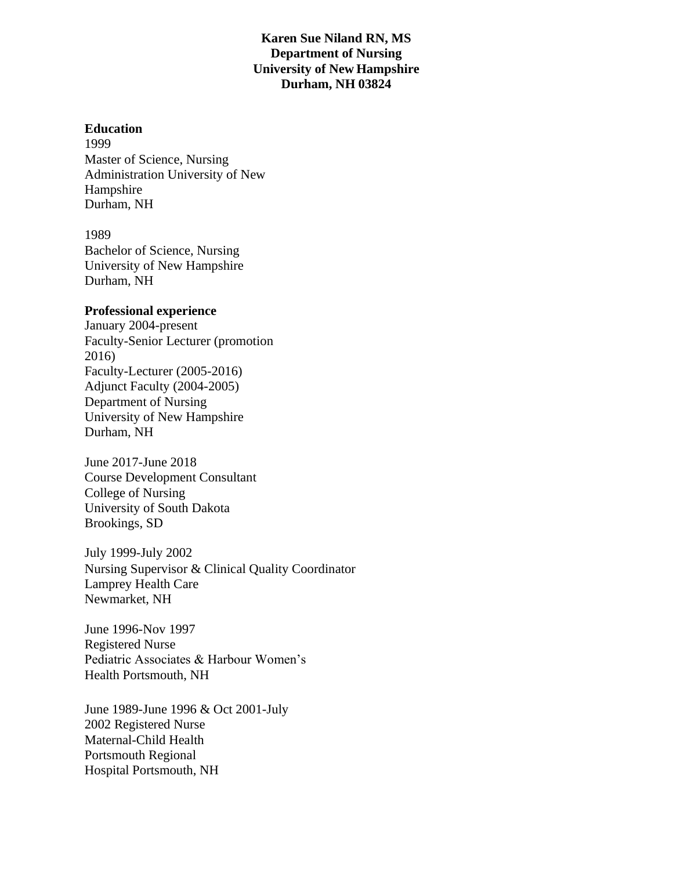## **Karen Sue Niland RN, MS Department of Nursing University of New Hampshire Durham, NH 03824**

#### **Education**

1999 Master of Science, Nursing Administration University of New Hampshire Durham, NH

1989 Bachelor of Science, Nursing University of New Hampshire Durham, NH

#### **Professional experience**

January 2004-present Faculty-Senior Lecturer (promotion 2016) Faculty-Lecturer (2005-2016) Adjunct Faculty (2004-2005) Department of Nursing University of New Hampshire Durham, NH

June 2017-June 2018 Course Development Consultant College of Nursing University of South Dakota Brookings, SD

July 1999-July 2002 Nursing Supervisor & Clinical Quality Coordinator Lamprey Health Care Newmarket, NH

June 1996-Nov 1997 Registered Nurse Pediatric Associates & Harbour Women's Health Portsmouth, NH

June 1989-June 1996 & Oct 2001-July 2002 Registered Nurse Maternal-Child Health Portsmouth Regional Hospital Portsmouth, NH